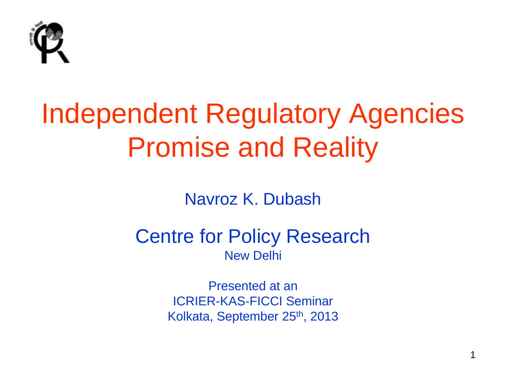

### Independent Regulatory Agencies Promise and Reality

Navroz K. Dubash

#### Centre for Policy Research New Delhi

Presented at an ICRIER-KAS-FICCI Seminar Kolkata, September 25th, 2013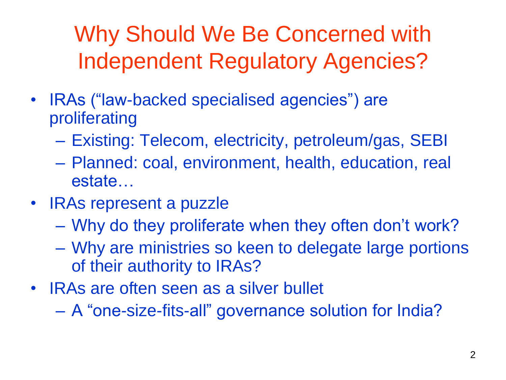Why Should We Be Concerned with Independent Regulatory Agencies?

- IRAs ("law-backed specialised agencies") are proliferating
	- Existing: Telecom, electricity, petroleum/gas, SEBI
	- Planned: coal, environment, health, education, real estate…
- IRAs represent a puzzle
	- Why do they proliferate when they often don't work?
	- Why are ministries so keen to delegate large portions of their authority to IRAs?
- IRAs are often seen as a silver bullet

– A "one-size-fits-all" governance solution for India?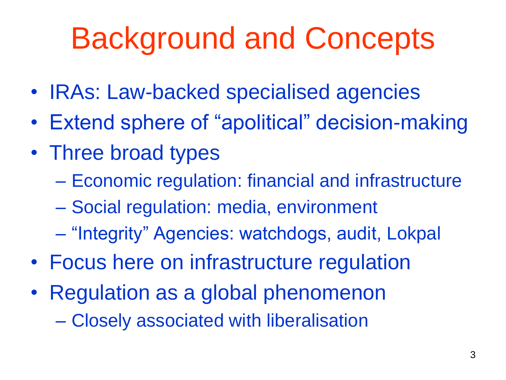# Background and Concepts

- IRAs: Law-backed specialised agencies
- Extend sphere of "apolitical" decision-making
- Three broad types
	- Economic regulation: financial and infrastructure
	- Social regulation: media, environment
	- "Integrity" Agencies: watchdogs, audit, Lokpal
- Focus here on infrastructure regulation
- Regulation as a global phenomenon – Closely associated with liberalisation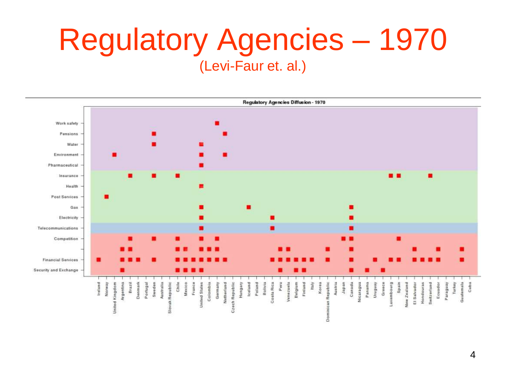### Regulatory Agencies – 1970 (Levi-Faur et. al.)

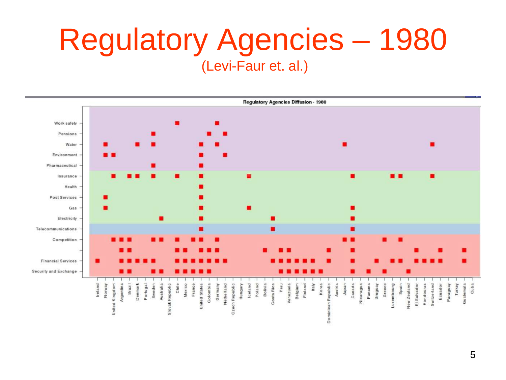### Regulatory Agencies – 1980 (Levi-Faur et. al.)

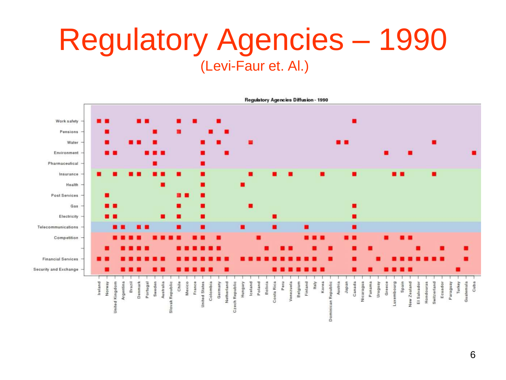### Regulatory Agencies – 1990 (Levi-Faur et. Al.)



6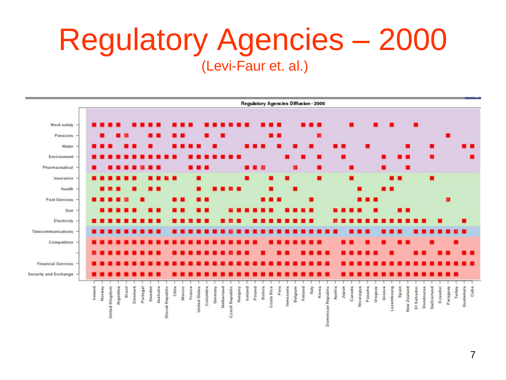### Regulatory Agencies – 2000 (Levi-Faur et. al.)

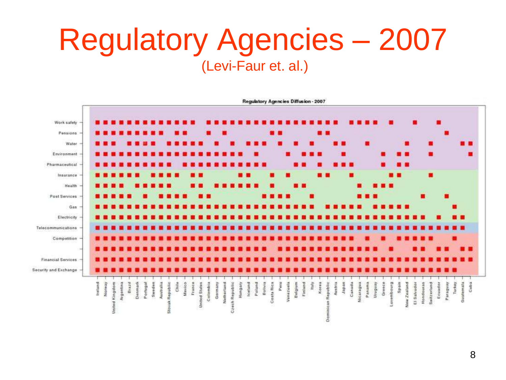### Regulatory Agencies – 2007 (Levi-Faur et. al.)

![](_page_7_Figure_1.jpeg)

**Regulatory Agencies Diffusion - 2007**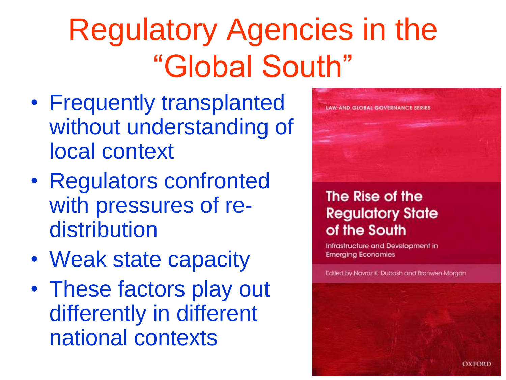# Regulatory Agencies in the "Global South"

- Frequently transplanted without understanding of local context
- Regulators confronted with pressures of redistribution
- Weak state capacity
- These factors play out differently in different national contexts

![](_page_8_Picture_5.jpeg)

#### The Rise of the **Regulatory State** of the South

Infrastructure and Development in **Emerging Economies** 

Edited by Navroz K. Dubash and Bronwen Morgan

**OXFORD**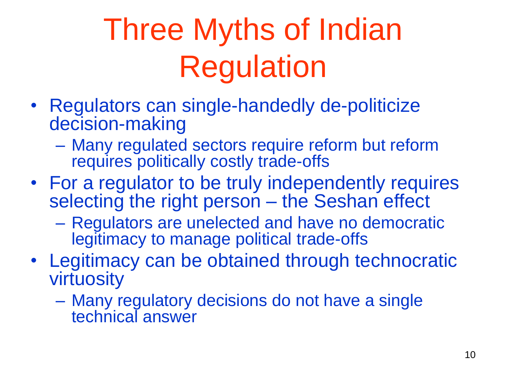# Three Myths of Indian Regulation

- Regulators can single-handedly de-politicize decision-making
	- Many regulated sectors require reform but reform requires politically costly trade-offs
- For a regulator to be truly independently requires selecting the right person – the Seshan effect
	- Regulators are unelected and have no democratic legitimacy to manage political trade-offs
- Legitimacy can be obtained through technocratic virtuosity
	- Many regulatory decisions do not have a single technical answer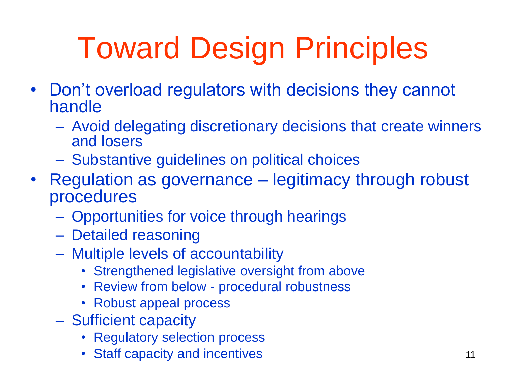# Toward Design Principles

- Don't overload regulators with decisions they cannot handle
	- Avoid delegating discretionary decisions that create winners and losers
	- Substantive guidelines on political choices
- Regulation as governance legitimacy through robust procedures
	- Opportunities for voice through hearings
	- Detailed reasoning
	- Multiple levels of accountability
		- Strengthened legislative oversight from above
		- Review from below procedural robustness
		- Robust appeal process
	- Sufficient capacity
		- Regulatory selection process
		- Staff capacity and incentives **11** and incentives 11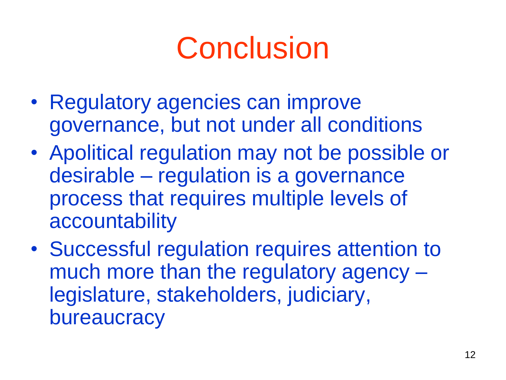## **Conclusion**

- Regulatory agencies can improve governance, but not under all conditions
- Apolitical regulation may not be possible or desirable – regulation is a governance process that requires multiple levels of accountability
- Successful regulation requires attention to much more than the regulatory agency – legislature, stakeholders, judiciary, bureaucracy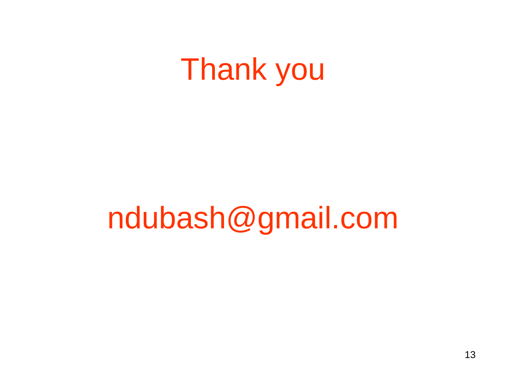### Thank you

### ndubash@gmail.com